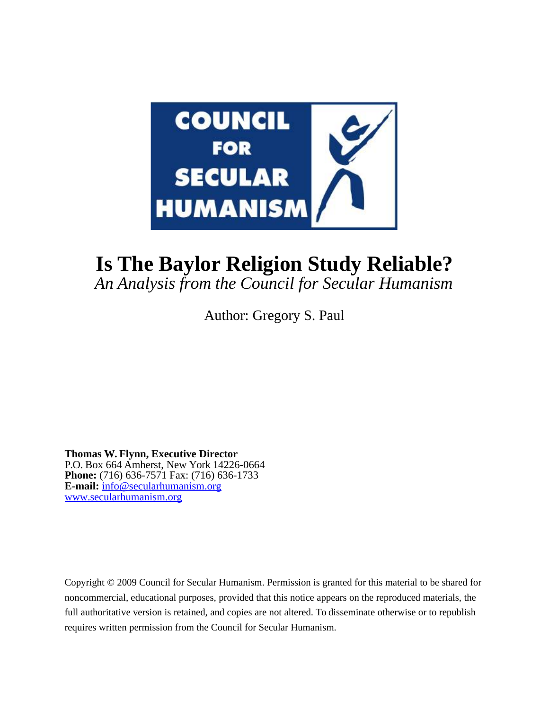

# **Is The Baylor Religion Study Reliable?**

*An Analysis from the Council for Secular Humanism*

Author: Gregory S. Paul

**Thomas W. Flynn, Executive Director** P.O. Box 664 Amherst, New York 14226-0664 **Phone:** (716) 636-7571 Fax: (716) 636-1733 **E-mail:** [info@secularhumanism.org](mailto:info@secularhumanism.org) [www.secularhumanism.org](http://www.secularhumanism.org/)

Copyright © 2009 Council for Secular Humanism. Permission is granted for this material to be shared for noncommercial, educational purposes, provided that this notice appears on the reproduced materials, the full authoritative version is retained, and copies are not altered. To disseminate otherwise or to republish requires written permission from the Council for Secular Humanism.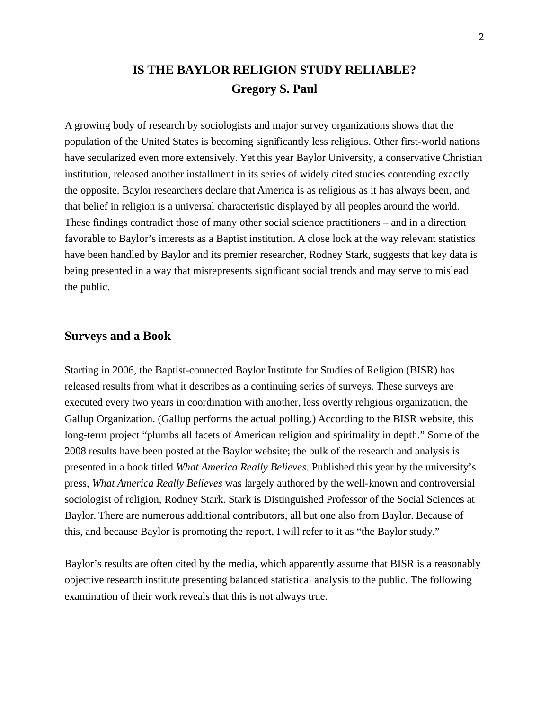# **IS THE BAYLOR RELIGION STUDY RELIABLE? Gregory S. Paul**

A growing body of research by sociologists and major survey organizations shows that the population of the United States is becoming significantly less religious. Other first-world nations have secularized even more extensively. Yet this year Baylor University, a conservative Christian institution, released another installment in its series of widely cited studies contending exactly the opposite. Baylor researchers declare that America is as religious as it has always been, and that belief in religion is a universal characteristic displayed by all peoples around the world. These findings contradict those of many other social science practitioners – and in a direction favorable to Baylor's interests as a Baptist institution. A close look at the way relevant statistics have been handled by Baylor and its premier researcher, Rodney Stark, suggests that key data is being presented in a way that misrepresents significant social trends and may serve to mislead the public.

#### **Surveys and a Book**

Starting in 2006, the Baptist-connected Baylor Institute for Studies of Religion (BISR) has released results from what it describes as a continuing series of surveys. These surveys are executed every two years in coordination with another, less overtly religious organization, the Gallup Organization. (Gallup performs the actual polling.) According to the BISR website, this long-term project "plumbs all facets of American religion and spirituality in depth." Some of the 2008 results have been posted at the Baylor website; the bulk of the research and analysis is presented in a book titled *What America Really Believes.* Published this year by the university's press, *What America Really Believes* was largely authored by the well-known and controversial sociologist of religion, Rodney Stark. Stark is Distinguished Professor of the Social Sciences at Baylor. There are numerous additional contributors, all but one also from Baylor. Because of this, and because Baylor is promoting the report, I will refer to it as "the Baylor study."

Baylor's results are often cited by the media, which apparently assume that BISR is a reasonably objective research institute presenting balanced statistical analysis to the public. The following examination of their work reveals that this is not always true.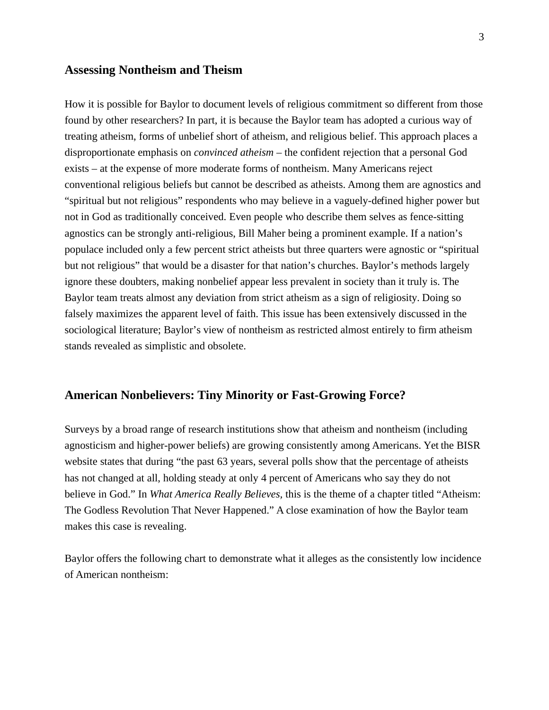#### **Assessing Nontheism and Theism**

How it is possible for Baylor to document levels of religious commitment so different from those found by other researchers? In part, it is because the Baylor team has adopted a curious way of treating atheism, forms of unbelief short of atheism, and religious belief. This approach places a disproportionate emphasis on *convinced atheism* – the confident rejection that a personal God exists – at the expense of more moderate forms of nontheism. Many Americans reject conventional religious beliefs but cannot be described as atheists. Among them are agnostics and "spiritual but not religious" respondents who may believe in a vaguely-defined higher power but not in God as traditionally conceived. Even people who describe them selves as fence-sitting agnostics can be strongly anti-religious, Bill Maher being a prominent example. If a nation's populace included only a few percent strict atheists but three quarters were agnostic or "spiritual but not religious" that would be a disaster for that nation's churches. Baylor's methods largely ignore these doubters, making nonbelief appear less prevalent in society than it truly is. The Baylor team treats almost any deviation from strict atheism as a sign of religiosity. Doing so falsely maximizes the apparent level of faith. This issue has been extensively discussed in the sociological literature; Baylor's view of nontheism as restricted almost entirely to firm atheism stands revealed as simplistic and obsolete.

#### **American Nonbelievers: Tiny Minority or Fast-Growing Force?**

Surveys by a broad range of research institutions show that atheism and nontheism (including agnosticism and higher-power beliefs) are growing consistently among Americans. Yet the BISR website states that during "the past 63 years, several polls show that the percentage of atheists has not changed at all, holding steady at only 4 percent of Americans who say they do not believe in God." In *What America Really Believes,* this is the theme of a chapter titled "Atheism: The Godless Revolution That Never Happened." A close examination of how the Baylor team makes this case is revealing.

Baylor offers the following chart to demonstrate what it alleges as the consistently low incidence of American nontheism: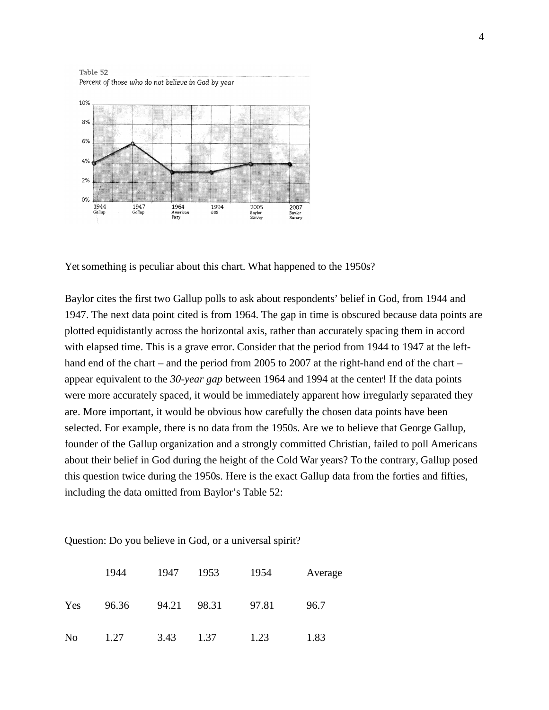Table 52 Percent of those who do not believe in God by year



Yet something is peculiar about this chart. What happened to the 1950s?

Baylor cites the first two Gallup polls to ask about respondents' belief in God, from 1944 and 1947. The next data point cited is from 1964. The gap in time is obscured because data points are plotted equidistantly across the horizontal axis, rather than accurately spacing them in accord with elapsed time. This is a grave error. Consider that the period from 1944 to 1947 at the lefthand end of the chart – and the period from 2005 to 2007 at the right-hand end of the chart – appear equivalent to the *30-year gap* between 1964 and 1994 at the center! If the data points were more accurately spaced, it would be immediately apparent how irregularly separated they are. More important, it would be obvious how carefully the chosen data points have been selected. For example, there is no data from the 1950s. Are we to believe that George Gallup, founder of the Gallup organization and a strongly committed Christian, failed to poll Americans about their belief in God during the height of the Cold War years? To the contrary, Gallup posed this question twice during the 1950s. Here is the exact Gallup data from the forties and fifties, including the data omitted from Baylor's Table 52:

|                | 1944  | 1947  | 1953  | 1954  | Average |
|----------------|-------|-------|-------|-------|---------|
| Yes            | 96.36 | 94.21 | 98.31 | 97.81 | 96.7    |
| N <sub>0</sub> | 1.27  | 3.43  | 1.37  | 1.23  | 1.83    |

Question: Do you believe in God, or a universal spirit?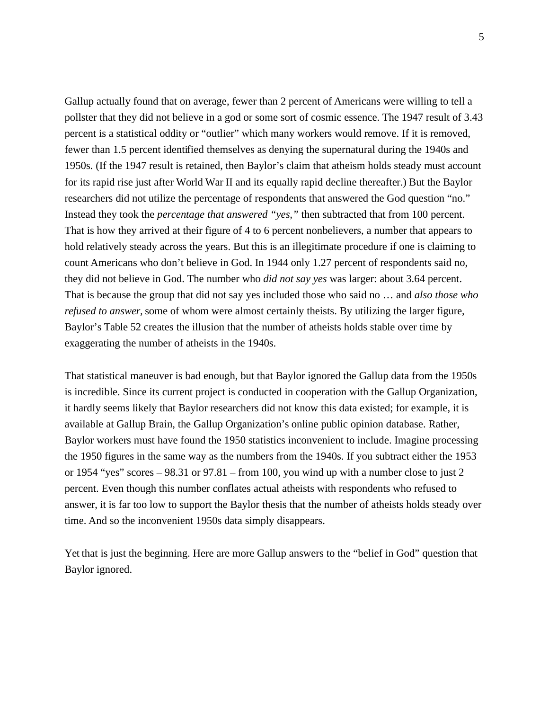Gallup actually found that on average, fewer than 2 percent of Americans were willing to tell a pollster that they did not believe in a god or some sort of cosmic essence. The 1947 result of 3.43 percent is a statistical oddity or "outlier" which many workers would remove. If it is removed, fewer than 1.5 percent identified themselves as denying the supernatural during the 1940s and 1950s. (If the 1947 result is retained, then Baylor's claim that atheism holds steady must account for its rapid rise just after World War II and its equally rapid decline thereafter.) But the Baylor researchers did not utilize the percentage of respondents that answered the God question "no." Instead they took the *percentage that answered "yes,"* then subtracted that from 100 percent. That is how they arrived at their figure of 4 to 6 percent nonbelievers, a number that appears to hold relatively steady across the years. But this is an illegitimate procedure if one is claiming to count Americans who don't believe in God. In 1944 only 1.27 percent of respondents said no, they did not believe in God. The number who *did not say yes* was larger: about 3.64 percent. That is because the group that did not say yes included those who said no … and *also those who refused to answer,* some of whom were almost certainly theists. By utilizing the larger figure, Baylor's Table 52 creates the illusion that the number of atheists holds stable over time by exaggerating the number of atheists in the 1940s.

That statistical maneuver is bad enough, but that Baylor ignored the Gallup data from the 1950s is incredible. Since its current project is conducted in cooperation with the Gallup Organization, it hardly seems likely that Baylor researchers did not know this data existed; for example, it is available at Gallup Brain, the Gallup Organization's online public opinion database. Rather, Baylor workers must have found the 1950 statistics inconvenient to include. Imagine processing the 1950 figures in the same way as the numbers from the 1940s. If you subtract either the 1953 or 1954 "yes" scores – 98.31 or 97.81 – from 100, you wind up with a number close to just 2 percent. Even though this number conflates actual atheists with respondents who refused to answer, it is far too low to support the Baylor thesis that the number of atheists holds steady over time. And so the inconvenient 1950s data simply disappears.

Yet that is just the beginning. Here are more Gallup answers to the "belief in God" question that Baylor ignored.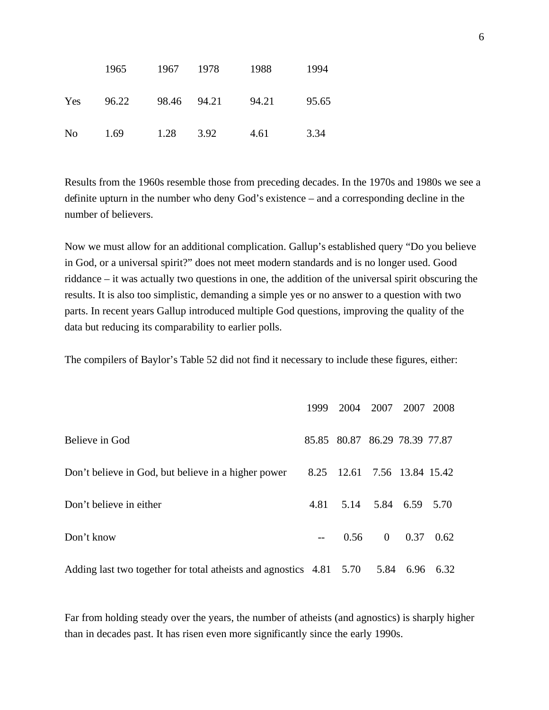|                | 1965  | 1967        | 1978 | 1988  | 1994  |
|----------------|-------|-------------|------|-------|-------|
| Yes            | 96.22 | 98.46 94.21 |      | 94.21 | 95.65 |
| N <sub>0</sub> | 1.69  | 1.28        | 3.92 | 4.61  | 3.34  |

Results from the 1960s resemble those from preceding decades. In the 1970s and 1980s we see a definite upturn in the number who deny God's existence – and a corresponding decline in the number of believers.

Now we must allow for an additional complication. Gallup's established query "Do you believe in God, or a universal spirit?" does not meet modern standards and is no longer used. Good riddance – it was actually two questions in one, the addition of the universal spirit obscuring the results. It is also too simplistic, demanding a simple yes or no answer to a question with two parts. In recent years Gallup introduced multiple God questions, improving the quality of the data but reducing its comparability to earlier polls.

The compilers of Baylor's Table 52 did not find it necessary to include these figures, either:

|                                                                     | 1999 | 2004                          | 2007           | 2007 2008 |      |
|---------------------------------------------------------------------|------|-------------------------------|----------------|-----------|------|
| Believe in God                                                      |      | 85.85 80.87 86.29 78.39 77.87 |                |           |      |
| Don't believe in God, but believe in a higher power                 |      | 8.25 12.61 7.56 13.84 15.42   |                |           |      |
| Don't believe in either                                             | 4.81 | 5.14                          |                | 5.84 6.59 | 5.70 |
| Don't know                                                          |      | 0.56                          | $\overline{0}$ | 0.37      | 0.62 |
| Adding last two together for total atheists and agnostics 4.81 5.70 |      |                               |                | 5.84 6.96 | 6.32 |

Far from holding steady over the years, the number of atheists (and agnostics) is sharply higher than in decades past. It has risen even more significantly since the early 1990s.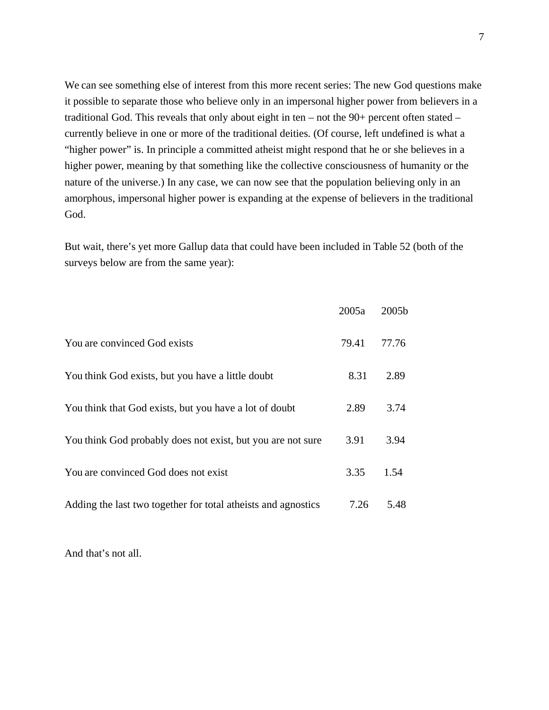We can see something else of interest from this more recent series: The new God questions make it possible to separate those who believe only in an impersonal higher power from believers in a traditional God. This reveals that only about eight in ten – not the 90+ percent often stated – currently believe in one or more of the traditional deities. (Of course, left undefined is what a "higher power" is. In principle a committed atheist might respond that he or she believes in a higher power, meaning by that something like the collective consciousness of humanity or the nature of the universe.) In any case, we can now see that the population believing only in an amorphous, impersonal higher power is expanding at the expense of believers in the traditional God.

But wait, there's yet more Gallup data that could have been included in Table 52 (both of the surveys below are from the same year):

|                                                               | 2005a | 2005b |
|---------------------------------------------------------------|-------|-------|
| You are convinced God exists                                  | 79.41 | 77.76 |
| You think God exists, but you have a little doubt             | 8.31  | 2.89  |
| You think that God exists, but you have a lot of doubt        | 2.89  | 3.74  |
| You think God probably does not exist, but you are not sure   | 3.91  | 3.94  |
| You are convinced God does not exist                          | 3.35  | 1.54  |
| Adding the last two together for total atheists and agnostics | 7.26  | 5.48  |

And that's not all.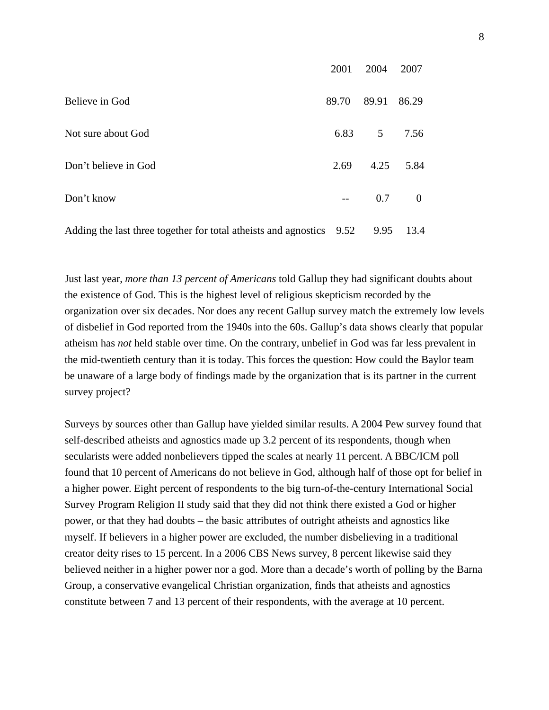|                                                                      | 2001  | 2004           | 2007           |
|----------------------------------------------------------------------|-------|----------------|----------------|
| Believe in God                                                       | 89.70 | 89.91          | 86.29          |
| Not sure about God                                                   | 6.83  | 5 <sup>5</sup> | 7.56           |
| Don't believe in God                                                 | 2.69  | 4.25           | 5.84           |
| Don't know                                                           | $-$   | 0.7            | $\overline{0}$ |
| Adding the last three together for total atheists and agnostics 9.52 |       | 9.95           | 13.4           |

Just last year, *more than 13 percent of Americans* told Gallup they had significant doubts about the existence of God. This is the highest level of religious skepticism recorded by the organization over six decades. Nor does any recent Gallup survey match the extremely low levels of disbelief in God reported from the 1940s into the 60s. Gallup's data shows clearly that popular atheism has *not* held stable over time. On the contrary, unbelief in God was far less prevalent in the mid-twentieth century than it is today. This forces the question: How could the Baylor team be unaware of a large body of findings made by the organization that is its partner in the current survey project?

Surveys by sources other than Gallup have yielded similar results. A 2004 Pew survey found that self-described atheists and agnostics made up 3.2 percent of its respondents, though when secularists were added nonbelievers tipped the scales at nearly 11 percent. A BBC/ICM poll found that 10 percent of Americans do not believe in God, although half of those opt for belief in a higher power. Eight percent of respondents to the big turn-of-the-century International Social Survey Program Religion II study said that they did not think there existed a God or higher power, or that they had doubts – the basic attributes of outright atheists and agnostics like myself. If believers in a higher power are excluded, the number disbelieving in a traditional creator deity rises to 15 percent. In a 2006 CBS News survey, 8 percent likewise said they believed neither in a higher power nor a god. More than a decade's worth of polling by the Barna Group, a conservative evangelical Christian organization, finds that atheists and agnostics constitute between 7 and 13 percent of their respondents, with the average at 10 percent.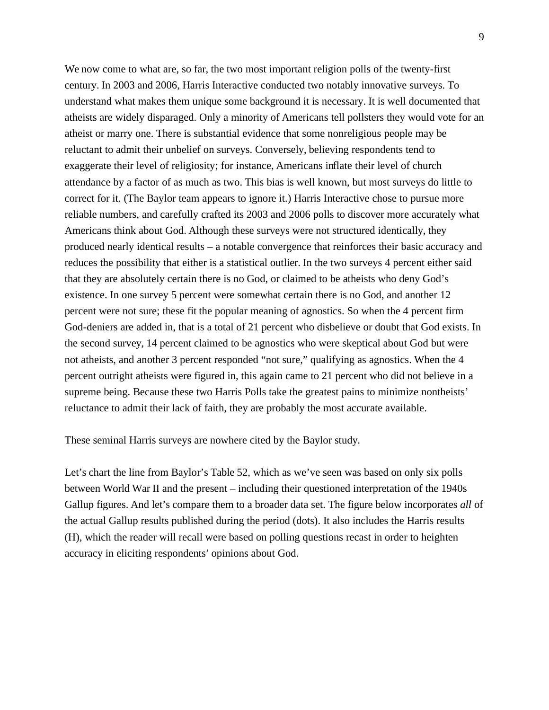We now come to what are, so far, the two most important religion polls of the twenty-first century. In 2003 and 2006, Harris Interactive conducted two notably innovative surveys. To understand what makes them unique some background it is necessary. It is well documented that atheists are widely disparaged. Only a minority of Americans tell pollsters they would vote for an atheist or marry one. There is substantial evidence that some nonreligious people may be reluctant to admit their unbelief on surveys. Conversely, believing respondents tend to exaggerate their level of religiosity; for instance, Americans inflate their level of church attendance by a factor of as much as two. This bias is well known, but most surveys do little to correct for it. (The Baylor team appears to ignore it.) Harris Interactive chose to pursue more reliable numbers, and carefully crafted its 2003 and 2006 polls to discover more accurately what Americans think about God. Although these surveys were not structured identically, they produced nearly identical results – a notable convergence that reinforces their basic accuracy and reduces the possibility that either is a statistical outlier. In the two surveys 4 percent either said that they are absolutely certain there is no God, or claimed to be atheists who deny God's existence. In one survey 5 percent were somewhat certain there is no God, and another 12 percent were not sure; these fit the popular meaning of agnostics. So when the 4 percent firm God-deniers are added in, that is a total of 21 percent who disbelieve or doubt that God exists. In the second survey, 14 percent claimed to be agnostics who were skeptical about God but were not atheists, and another 3 percent responded "not sure," qualifying as agnostics. When the 4 percent outright atheists were figured in, this again came to 21 percent who did not believe in a supreme being. Because these two Harris Polls take the greatest pains to minimize nontheists' reluctance to admit their lack of faith, they are probably the most accurate available.

These seminal Harris surveys are nowhere cited by the Baylor study.

Let's chart the line from Baylor's Table 52, which as we've seen was based on only six polls between World War II and the present – including their questioned interpretation of the 1940s Gallup figures. And let's compare them to a broader data set. The figure below incorporates *all* of the actual Gallup results published during the period (dots). It also includes the Harris results (H), which the reader will recall were based on polling questions recast in order to heighten accuracy in eliciting respondents' opinions about God.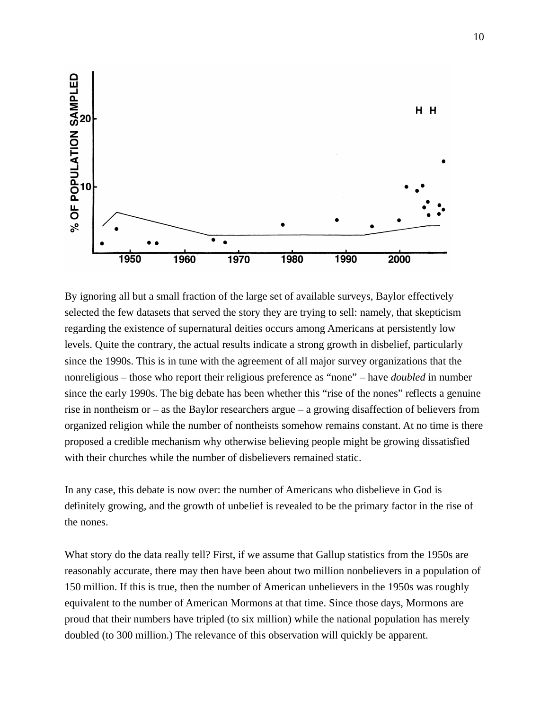

By ignoring all but a small fraction of the large set of available surveys, Baylor effectively selected the few datasets that served the story they are trying to sell: namely, that skepticism regarding the existence of supernatural deities occurs among Americans at persistently low levels. Quite the contrary, the actual results indicate a strong growth in disbelief, particularly since the 1990s. This is in tune with the agreement of all major survey organizations that the nonreligious – those who report their religious preference as "none" – have *doubled* in number since the early 1990s. The big debate has been whether this "rise of the nones" reflects a genuine rise in nontheism or – as the Baylor researchers argue – a growing disaffection of believers from organized religion while the number of nontheists somehow remains constant. At no time is there proposed a credible mechanism why otherwise believing people might be growing dissatisfied with their churches while the number of disbelievers remained static.

In any case, this debate is now over: the number of Americans who disbelieve in God is definitely growing, and the growth of unbelief is revealed to be the primary factor in the rise of the nones.

What story do the data really tell? First, if we assume that Gallup statistics from the 1950s are reasonably accurate, there may then have been about two million nonbelievers in a population of 150 million. If this is true, then the number of American unbelievers in the 1950s was roughly equivalent to the number of American Mormons at that time. Since those days, Mormons are proud that their numbers have tripled (to six million) while the national population has merely doubled (to 300 million.) The relevance of this observation will quickly be apparent.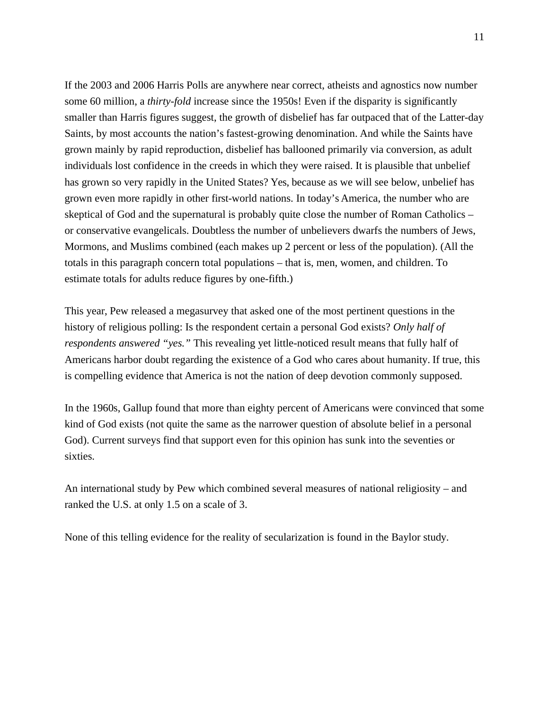If the 2003 and 2006 Harris Polls are anywhere near correct, atheists and agnostics now number some 60 million, a *thirty-fold* increase since the 1950s! Even if the disparity is significantly smaller than Harris figures suggest, the growth of disbelief has far outpaced that of the Latter-day Saints, by most accounts the nation's fastest-growing denomination. And while the Saints have grown mainly by rapid reproduction, disbelief has ballooned primarily via conversion, as adult individuals lost confidence in the creeds in which they were raised. It is plausible that unbelief has grown so very rapidly in the United States? Yes, because as we will see below, unbelief has grown even more rapidly in other first-world nations. In today's America, the number who are skeptical of God and the supernatural is probably quite close the number of Roman Catholics – or conservative evangelicals. Doubtless the number of unbelievers dwarfs the numbers of Jews, Mormons, and Muslims combined (each makes up 2 percent or less of the population). (All the totals in this paragraph concern total populations – that is, men, women, and children. To estimate totals for adults reduce figures by one-fifth.)

This year, Pew released a megasurvey that asked one of the most pertinent questions in the history of religious polling: Is the respondent certain a personal God exists? *Only half of respondents answered "yes."* This revealing yet little-noticed result means that fully half of Americans harbor doubt regarding the existence of a God who cares about humanity. If true, this is compelling evidence that America is not the nation of deep devotion commonly supposed.

In the 1960s, Gallup found that more than eighty percent of Americans were convinced that some kind of God exists (not quite the same as the narrower question of absolute belief in a personal God). Current surveys find that support even for this opinion has sunk into the seventies or sixties.

An international study by Pew which combined several measures of national religiosity – and ranked the U.S. at only 1.5 on a scale of 3.

None of this telling evidence for the reality of secularization is found in the Baylor study.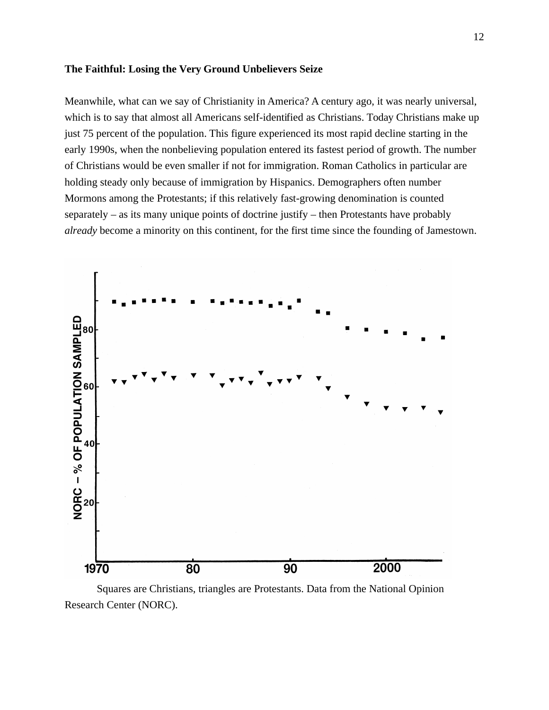#### **The Faithful: Losing the Very Ground Unbelievers Seize**

Meanwhile, what can we say of Christianity in America? A century ago, it was nearly universal, which is to say that almost all Americans self-identified as Christians. Today Christians make up just 75 percent of the population. This figure experienced its most rapid decline starting in the early 1990s, when the nonbelieving population entered its fastest period of growth. The number of Christians would be even smaller if not for immigration. Roman Catholics in particular are holding steady only because of immigration by Hispanics. Demographers often number Mormons among the Protestants; if this relatively fast-growing denomination is counted separately – as its many unique points of doctrine justify – then Protestants have probably *already* become a minority on this continent, for the first time since the founding of Jamestown.



Squares are Christians, triangles are Protestants. Data from the National Opinion Research Center (NORC).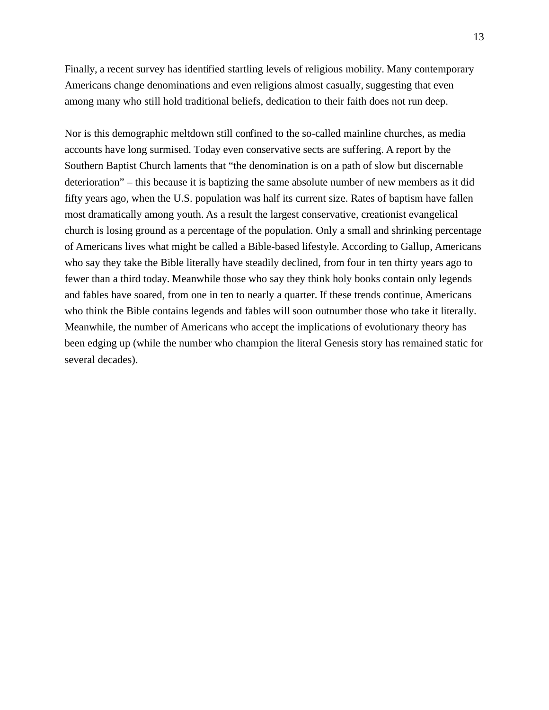Finally, a recent survey has identified startling levels of religious mobility. Many contemporary Americans change denominations and even religions almost casually, suggesting that even among many who still hold traditional beliefs, dedication to their faith does not run deep.

Nor is this demographic meltdown still confined to the so-called mainline churches, as media accounts have long surmised. Today even conservative sects are suffering. A report by the Southern Baptist Church laments that "the denomination is on a path of slow but discernable deterioration" – this because it is baptizing the same absolute number of new members as it did fifty years ago, when the U.S. population was half its current size. Rates of baptism have fallen most dramatically among youth. As a result the largest conservative, creationist evangelical church is losing ground as a percentage of the population. Only a small and shrinking percentage of Americans lives what might be called a Bible-based lifestyle. According to Gallup, Americans who say they take the Bible literally have steadily declined, from four in ten thirty years ago to fewer than a third today. Meanwhile those who say they think holy books contain only legends and fables have soared, from one in ten to nearly a quarter. If these trends continue, Americans who think the Bible contains legends and fables will soon outnumber those who take it literally. Meanwhile, the number of Americans who accept the implications of evolutionary theory has been edging up (while the number who champion the literal Genesis story has remained static for several decades).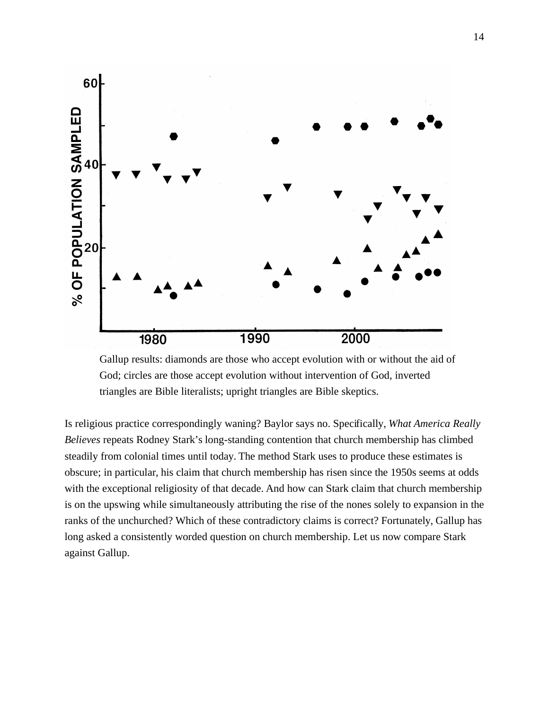

 Gallup results: diamonds are those who accept evolution with or without the aid of God; circles are those accept evolution without intervention of God, inverted triangles are Bible literalists; upright triangles are Bible skeptics.

Is religious practice correspondingly waning? Baylor says no. Specifically, *What America Really Believes* repeats Rodney Stark's long-standing contention that church membership has climbed steadily from colonial times until today. The method Stark uses to produce these estimates is obscure; in particular, his claim that church membership has risen since the 1950s seems at odds with the exceptional religiosity of that decade. And how can Stark claim that church membership is on the upswing while simultaneously attributing the rise of the nones solely to expansion in the ranks of the unchurched? Which of these contradictory claims is correct? Fortunately, Gallup has long asked a consistently worded question on church membership. Let us now compare Stark against Gallup.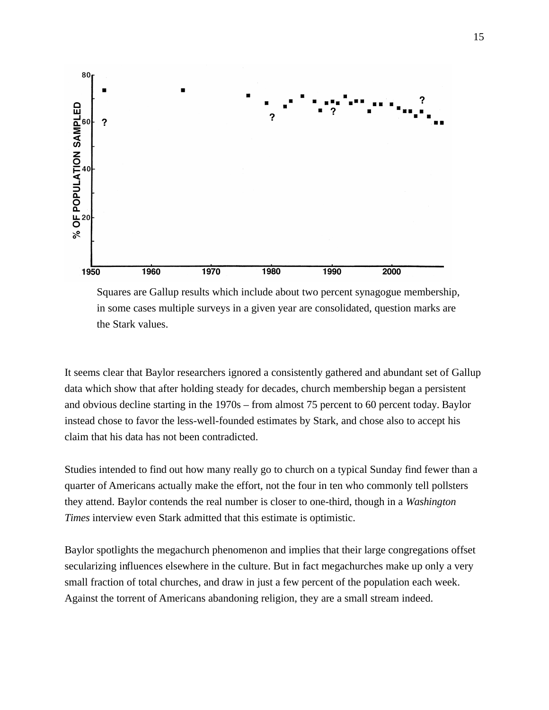

 Squares are Gallup results which include about two percent synagogue membership, in some cases multiple surveys in a given year are consolidated, question marks are the Stark values.

It seems clear that Baylor researchers ignored a consistently gathered and abundant set of Gallup data which show that after holding steady for decades, church membership began a persistent and obvious decline starting in the 1970s – from almost 75 percent to 60 percent today. Baylor instead chose to favor the less-well-founded estimates by Stark, and chose also to accept his claim that his data has not been contradicted.

Studies intended to find out how many really go to church on a typical Sunday find fewer than a quarter of Americans actually make the effort, not the four in ten who commonly tell pollsters they attend. Baylor contends the real number is closer to one-third, though in a *Washington Times* interview even Stark admitted that this estimate is optimistic.

Baylor spotlights the megachurch phenomenon and implies that their large congregations offset secularizing influences elsewhere in the culture. But in fact megachurches make up only a very small fraction of total churches, and draw in just a few percent of the population each week. Against the torrent of Americans abandoning religion, they are a small stream indeed.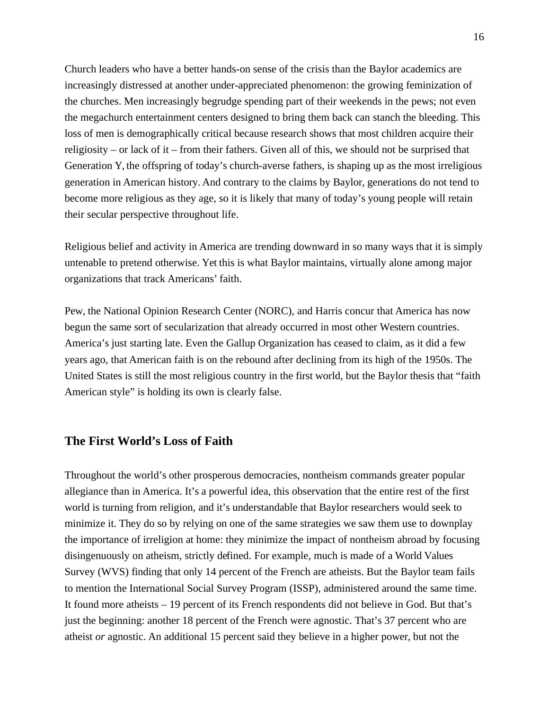Church leaders who have a better hands-on sense of the crisis than the Baylor academics are increasingly distressed at another under-appreciated phenomenon: the growing feminization of the churches. Men increasingly begrudge spending part of their weekends in the pews; not even the megachurch entertainment centers designed to bring them back can stanch the bleeding. This loss of men is demographically critical because research shows that most children acquire their religiosity – or lack of it – from their fathers. Given all of this, we should not be surprised that Generation Y, the offspring of today's church-averse fathers, is shaping up as the most irreligious generation in American history. And contrary to the claims by Baylor, generations do not tend to become more religious as they age, so it is likely that many of today's young people will retain their secular perspective throughout life.

Religious belief and activity in America are trending downward in so many ways that it is simply untenable to pretend otherwise. Yet this is what Baylor maintains, virtually alone among major organizations that track Americans' faith.

Pew, the National Opinion Research Center (NORC), and Harris concur that America has now begun the same sort of secularization that already occurred in most other Western countries. America's just starting late. Even the Gallup Organization has ceased to claim, as it did a few years ago, that American faith is on the rebound after declining from its high of the 1950s. The United States is still the most religious country in the first world, but the Baylor thesis that "faith American style" is holding its own is clearly false.

## **The First World's Loss of Faith**

Throughout the world's other prosperous democracies, nontheism commands greater popular allegiance than in America. It's a powerful idea, this observation that the entire rest of the first world is turning from religion, and it's understandable that Baylor researchers would seek to minimize it. They do so by relying on one of the same strategies we saw them use to downplay the importance of irreligion at home: they minimize the impact of nontheism abroad by focusing disingenuously on atheism, strictly defined. For example, much is made of a World Values Survey (WVS) finding that only 14 percent of the French are atheists. But the Baylor team fails to mention the International Social Survey Program (ISSP), administered around the same time. It found more atheists – 19 percent of its French respondents did not believe in God. But that's just the beginning: another 18 percent of the French were agnostic. That's 37 percent who are atheist *or* agnostic. An additional 15 percent said they believe in a higher power, but not the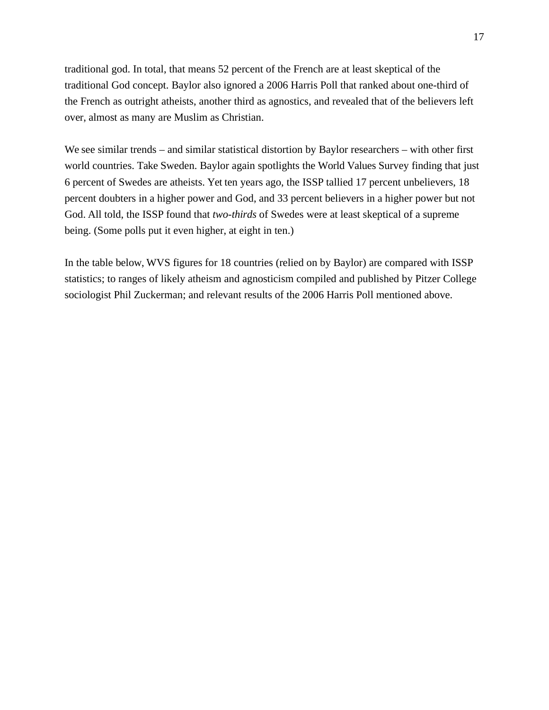traditional god. In total, that means 52 percent of the French are at least skeptical of the traditional God concept. Baylor also ignored a 2006 Harris Poll that ranked about one-third of the French as outright atheists, another third as agnostics, and revealed that of the believers left over, almost as many are Muslim as Christian.

We see similar trends – and similar statistical distortion by Baylor researchers – with other first world countries. Take Sweden. Baylor again spotlights the World Values Survey finding that just 6 percent of Swedes are atheists. Yet ten years ago, the ISSP tallied 17 percent unbelievers, 18 percent doubters in a higher power and God, and 33 percent believers in a higher power but not God. All told, the ISSP found that *two-thirds* of Swedes were at least skeptical of a supreme being. (Some polls put it even higher, at eight in ten.)

In the table below, WVS figures for 18 countries (relied on by Baylor) are compared with ISSP statistics; to ranges of likely atheism and agnosticism compiled and published by Pitzer College sociologist Phil Zuckerman; and relevant results of the 2006 Harris Poll mentioned above.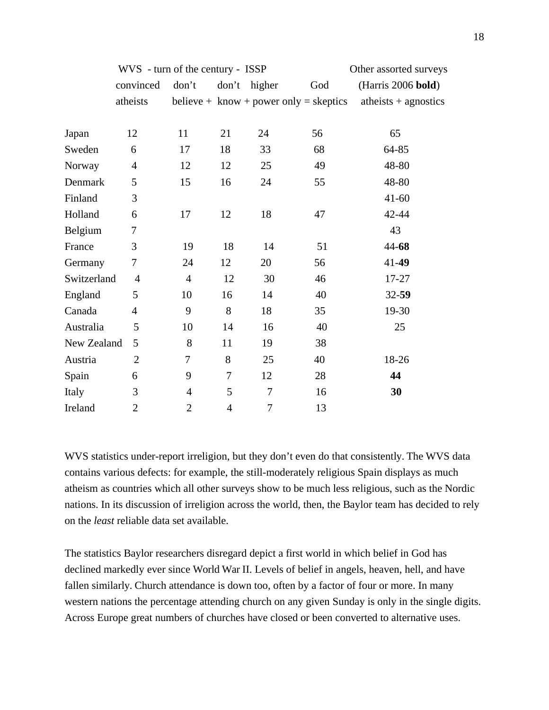|             | WVS - turn of the century - ISSP |                |                |                  |                                                              | Other assorted surveys |  |  |
|-------------|----------------------------------|----------------|----------------|------------------|--------------------------------------------------------------|------------------------|--|--|
|             | convinced                        | don't          |                | don't higher     | God                                                          | (Harris 2006 bold)     |  |  |
|             | atheists                         |                |                |                  | believe + $\text{know} + \text{power only} = \text{sketics}$ | atheists $+$ agnostics |  |  |
| Japan       | 12                               | 11             | 21             | 24               | 56                                                           | 65                     |  |  |
| Sweden      | 6                                | 17             | 18             | 33               | 68                                                           | $64 - 85$              |  |  |
| Norway      | $\overline{4}$                   | 12             | 12             | 25               | 49                                                           | 48-80                  |  |  |
| Denmark     | 5                                | 15             | 16             | 24               | 55                                                           | 48-80                  |  |  |
| Finland     | 3                                |                |                |                  |                                                              | $41 - 60$              |  |  |
| Holland     | 6                                | 17             | 12             | 18               | 47                                                           | 42-44                  |  |  |
| Belgium     | 7                                |                |                |                  |                                                              | 43                     |  |  |
| France      | 3                                | 19             | 18             | 14               | 51                                                           | $44 - 68$              |  |  |
| Germany     | 7                                | 24             | 12             | 20               | 56                                                           | $41 - 49$              |  |  |
| Switzerland | $\overline{4}$                   | $\overline{4}$ | 12             | 30               | 46                                                           | 17-27                  |  |  |
| England     | 5                                | 10             | 16             | 14               | 40                                                           | $32 - 59$              |  |  |
| Canada      | $\overline{4}$                   | 9              | 8              | 18               | 35                                                           | 19-30                  |  |  |
| Australia   | 5                                | 10             | 14             | 16               | 40                                                           | 25                     |  |  |
| New Zealand | 5                                | 8              | 11             | 19               | 38                                                           |                        |  |  |
| Austria     | $\overline{2}$                   | 7              | 8              | 25               | 40                                                           | 18-26                  |  |  |
| Spain       | 6                                | 9              | 7              | 12               | 28                                                           | 44                     |  |  |
| Italy       | 3                                | $\overline{4}$ | 5              | $\tau$           | 16                                                           | 30                     |  |  |
| Ireland     | $\overline{2}$                   | $\overline{2}$ | $\overline{4}$ | $\boldsymbol{7}$ | 13                                                           |                        |  |  |

WVS statistics under-report irreligion, but they don't even do that consistently. The WVS data contains various defects: for example, the still-moderately religious Spain displays as much atheism as countries which all other surveys show to be much less religious, such as the Nordic nations. In its discussion of irreligion across the world, then, the Baylor team has decided to rely on the *least* reliable data set available.

The statistics Baylor researchers disregard depict a first world in which belief in God has declined markedly ever since World War II. Levels of belief in angels, heaven, hell, and have fallen similarly. Church attendance is down too, often by a factor of four or more. In many western nations the percentage attending church on any given Sunday is only in the single digits. Across Europe great numbers of churches have closed or been converted to alternative uses.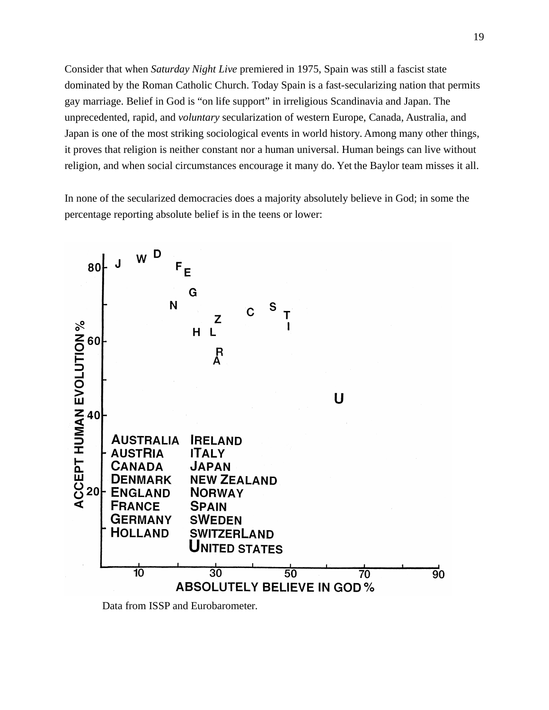Consider that when *Saturday Night Live* premiered in 1975, Spain was still a fascist state dominated by the Roman Catholic Church. Today Spain is a fast-secularizing nation that permits gay marriage. Belief in God is "on life support" in irreligious Scandinavia and Japan. The unprecedented, rapid, and *voluntary* secularization of western Europe, Canada, Australia, and Japan is one of the most striking sociological events in world history. Among many other things, it proves that religion is neither constant nor a human universal. Human beings can live without religion, and when social circumstances encourage it many do. Yet the Baylor team misses it all.

In none of the secularized democracies does a majority absolutely believe in God; in some the percentage reporting absolute belief is in the teens or lower:



Data from ISSP and Eurobarometer.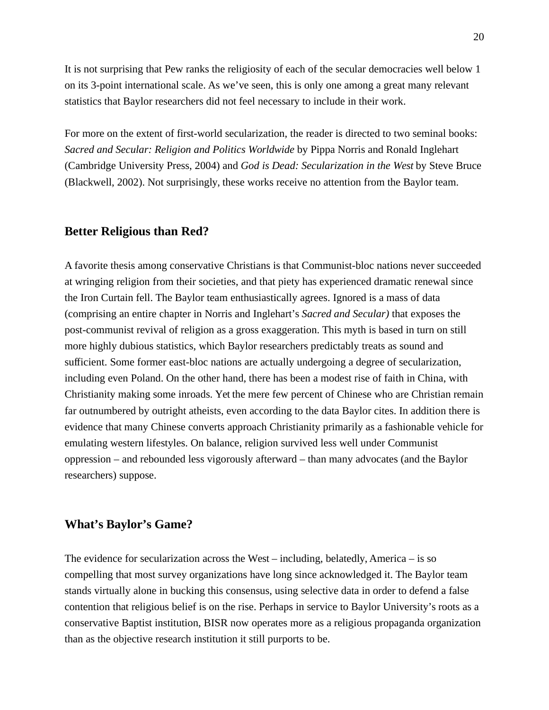It is not surprising that Pew ranks the religiosity of each of the secular democracies well below 1 on its 3-point international scale. As we've seen, this is only one among a great many relevant statistics that Baylor researchers did not feel necessary to include in their work.

For more on the extent of first-world secularization, the reader is directed to two seminal books: *Sacred and Secular: Religion and Politics Worldwide* by Pippa Norris and Ronald Inglehart (Cambridge University Press, 2004) and *God is Dead: Secularization in the West* by Steve Bruce (Blackwell, 2002). Not surprisingly, these works receive no attention from the Baylor team.

#### **Better Religious than Red?**

A favorite thesis among conservative Christians is that Communist-bloc nations never succeeded at wringing religion from their societies, and that piety has experienced dramatic renewal since the Iron Curtain fell. The Baylor team enthusiastically agrees. Ignored is a mass of data (comprising an entire chapter in Norris and Inglehart's *Sacred and Secular)* that exposes the post-communist revival of religion as a gross exaggeration. This myth is based in turn on still more highly dubious statistics, which Baylor researchers predictably treats as sound and sufficient. Some former east-bloc nations are actually undergoing a degree of secularization, including even Poland. On the other hand, there has been a modest rise of faith in China, with Christianity making some inroads. Yet the mere few percent of Chinese who are Christian remain far outnumbered by outright atheists, even according to the data Baylor cites. In addition there is evidence that many Chinese converts approach Christianity primarily as a fashionable vehicle for emulating western lifestyles. On balance, religion survived less well under Communist oppression – and rebounded less vigorously afterward – than many advocates (and the Baylor researchers) suppose.

#### **What's Baylor's Game?**

The evidence for secularization across the West – including, belatedly, America – is so compelling that most survey organizations have long since acknowledged it. The Baylor team stands virtually alone in bucking this consensus, using selective data in order to defend a false contention that religious belief is on the rise. Perhaps in service to Baylor University's roots as a conservative Baptist institution, BISR now operates more as a religious propaganda organization than as the objective research institution it still purports to be.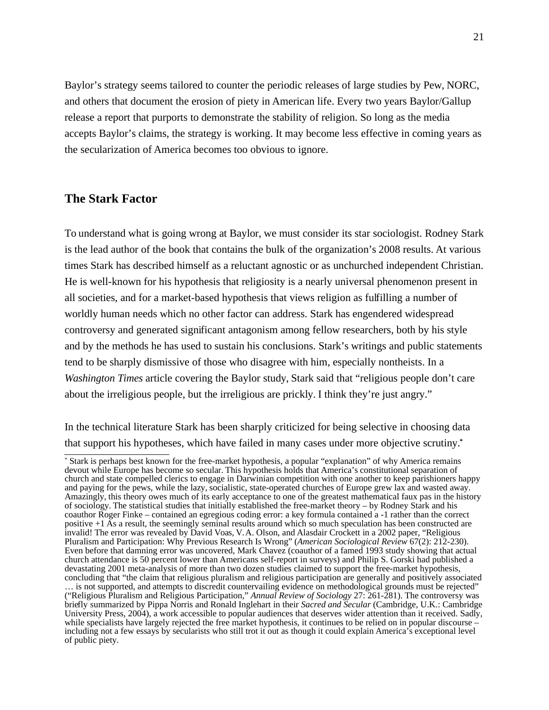Baylor's strategy seems tailored to counter the periodic releases of large studies by Pew, NORC, and others that document the erosion of piety in American life. Every two years Baylor/Gallup release a report that purports to demonstrate the stability of religion. So long as the media accepts Baylor's claims, the strategy is working. It may become less effective in coming years as the secularization of America becomes too obvious to ignore.

#### **The Stark Factor**

To understand what is going wrong at Baylor, we must consider its star sociologist. Rodney Stark is the lead author of the book that contains the bulk of the organization's 2008 results. At various times Stark has described himself as a reluctant agnostic or as unchurched independent Christian. He is well-known for his hypothesis that religiosity is a nearly universal phenomenon present in all societies, and for a market-based hypothesis that views religion as fulfilling a number of worldly human needs which no other factor can address. Stark has engendered widespread controversy and generated significant antagonism among fellow researchers, both by his style and by the methods he has used to sustain his conclusions. Stark's writings and public statements tend to be sharply dismissive of those who disagree with him, especially nontheists. In a *Washington Times* article covering the Baylor study, Stark said that "religious people don't care about the irreligious people, but the irreligious are prickly. I think they're just angry."

In the technical literature Stark has been sharply criticized for being selective in choosing data that support his hypotheses, which have failed in many cases under more objective scrutiny.**[\\*](#page-20-0)**

<span id="page-20-0"></span><sup>\*</sup> Stark is perhaps best known for the free-market hypothesis, a popular "explanation" of why America remains devout while Europe has become so secular. This hypothesis holds that America's constitutional separation of church and state compelled clerics to engage in Darwinian competition with one another to keep parishioners happy and paying for the pews, while the lazy, socialistic, state-operated churches of Europe grew lax and wasted away. Amazingly, this theory owes much of its early acceptance to one of the greatest mathematical faux pas in the history of sociology. The statistical studies that initially established the free-market theory – by Rodney Stark and his coauthor Roger Finke – contained an egregious coding error: a key formula contained a -1 rather than the correct positive +1 As a result, the seemingly seminal results around which so much speculation has been constructed are invalid! The error was revealed by David Voas, V. A. Olson, and Alasdair Crockett in a 2002 paper, "Religious Pluralism and Participation: Why Previous Research Is Wrong" (*American Sociological Review* 67(2): 212-230). Even before that damning error was uncovered, Mark Chavez (coauthor of a famed 1993 study showing that actual church attendance is 50 percent lower than Americans self-report in surveys) and Philip S. Gorski had published a devastating 2001 meta-analysis of more than two dozen studies claimed to support the free-market hypothesis, concluding that "the claim that religious pluralism and religious participation are generally and positively associated … is not supported, and attempts to discredit countervailing evidence on methodological grounds must be rejected" ("Religious Pluralism and Religious Participation," *Annual Review of Sociology* 27: 261-281). The controversy was briefly summarized by Pippa Norris and Ronald Inglehart in their *Sacred and Secular* (Cambridge, U.K.: Cambridge University Press, 2004), a work accessible to popular audiences that deserves wider attention than it received. Sadly, while specialists have largely rejected the free market hypothesis, it continues to be relied on in popular discourse – including not a few essays by secularists who still trot it out as though it could explain America's exceptional level of public piety.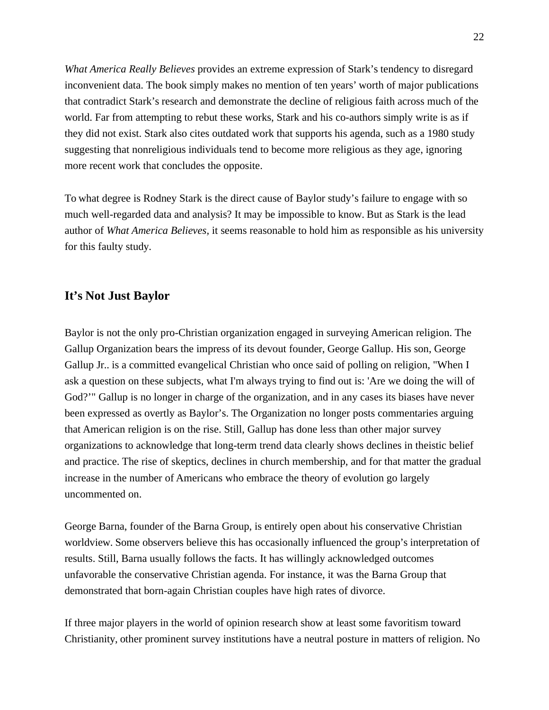*What America Really Believes* provides an extreme expression of Stark's tendency to disregard inconvenient data. The book simply makes no mention of ten years' worth of major publications that contradict Stark's research and demonstrate the decline of religious faith across much of the world. Far from attempting to rebut these works, Stark and his co-authors simply write is as if they did not exist. Stark also cites outdated work that supports his agenda, such as a 1980 study suggesting that nonreligious individuals tend to become more religious as they age, ignoring more recent work that concludes the opposite.

To what degree is Rodney Stark is the direct cause of Baylor study's failure to engage with so much well-regarded data and analysis? It may be impossible to know. But as Stark is the lead author of *What America Believes,* it seems reasonable to hold him as responsible as his university for this faulty study.

# **It's Not Just Baylor**

Baylor is not the only pro-Christian organization engaged in surveying American religion. The Gallup Organization bears the impress of its devout founder, George Gallup. His son, George Gallup Jr.. is a committed evangelical Christian who once said of polling on religion, "When I ask a question on these subjects, what I'm always trying to find out is: 'Are we doing the will of God?'" Gallup is no longer in charge of the organization, and in any cases its biases have never been expressed as overtly as Baylor's. The Organization no longer posts commentaries arguing that American religion is on the rise. Still, Gallup has done less than other major survey organizations to acknowledge that long-term trend data clearly shows declines in theistic belief and practice. The rise of skeptics, declines in church membership, and for that matter the gradual increase in the number of Americans who embrace the theory of evolution go largely uncommented on.

George Barna, founder of the Barna Group, is entirely open about his conservative Christian worldview. Some observers believe this has occasionally influenced the group's interpretation of results. Still, Barna usually follows the facts. It has willingly acknowledged outcomes unfavorable the conservative Christian agenda. For instance, it was the Barna Group that demonstrated that born-again Christian couples have high rates of divorce.

If three major players in the world of opinion research show at least some favoritism toward Christianity, other prominent survey institutions have a neutral posture in matters of religion. No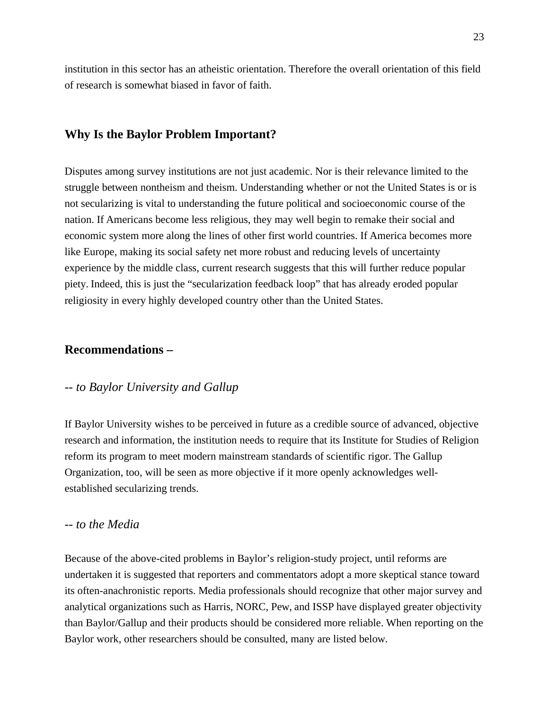institution in this sector has an atheistic orientation. Therefore the overall orientation of this field of research is somewhat biased in favor of faith.

## **Why Is the Baylor Problem Important?**

Disputes among survey institutions are not just academic. Nor is their relevance limited to the struggle between nontheism and theism. Understanding whether or not the United States is or is not secularizing is vital to understanding the future political and socioeconomic course of the nation. If Americans become less religious, they may well begin to remake their social and economic system more along the lines of other first world countries. If America becomes more like Europe, making its social safety net more robust and reducing levels of uncertainty experience by the middle class, current research suggests that this will further reduce popular piety. Indeed, this is just the "secularization feedback loop" that has already eroded popular religiosity in every highly developed country other than the United States.

#### **Recommendations –**

#### *-- to Baylor University and Gallup*

If Baylor University wishes to be perceived in future as a credible source of advanced, objective research and information, the institution needs to require that its Institute for Studies of Religion reform its program to meet modern mainstream standards of scientific rigor. The Gallup Organization, too, will be seen as more objective if it more openly acknowledges wellestablished secularizing trends.

#### *-- to the Media*

Because of the above-cited problems in Baylor's religion-study project, until reforms are undertaken it is suggested that reporters and commentators adopt a more skeptical stance toward its often-anachronistic reports. Media professionals should recognize that other major survey and analytical organizations such as Harris, NORC, Pew, and ISSP have displayed greater objectivity than Baylor/Gallup and their products should be considered more reliable. When reporting on the Baylor work, other researchers should be consulted, many are listed below.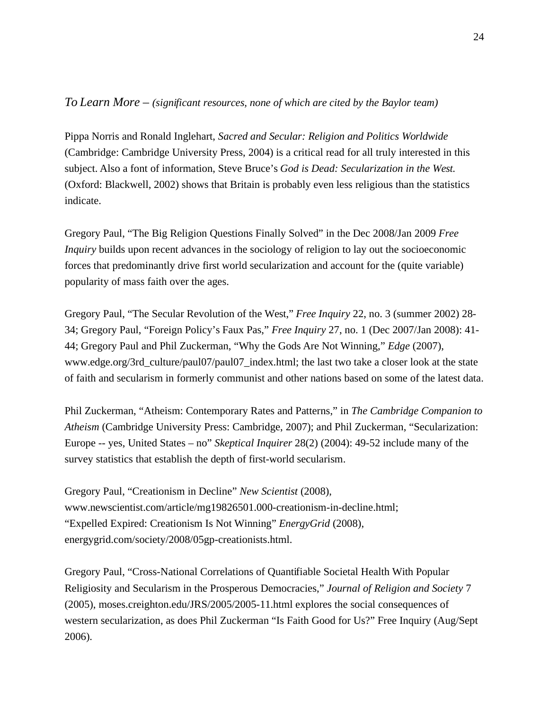#### *To Learn More – (significant resources, none of which are cited by the Baylor team)*

Pippa Norris and Ronald Inglehart, *Sacred and Secular: Religion and Politics Worldwide* (Cambridge: Cambridge University Press, 2004) is a critical read for all truly interested in this subject. Also a font of information, Steve Bruce's *God is Dead: Secularization in the West*. (Oxford: Blackwell, 2002) shows that Britain is probably even less religious than the statistics indicate.

Gregory Paul, "The Big Religion Questions Finally Solved" in the Dec 2008/Jan 2009 *Free Inquiry* builds upon recent advances in the sociology of religion to lay out the socioeconomic forces that predominantly drive first world secularization and account for the (quite variable) popularity of mass faith over the ages.

Gregory Paul, "The Secular Revolution of the West," *Free Inquiry* 22, no. 3 (summer 2002) 28- 34; Gregory Paul, "Foreign Policy's Faux Pas," *Free Inquiry* 27, no. 1 (Dec 2007/Jan 2008): 41- 44; Gregory Paul and Phil Zuckerman, "Why the Gods Are Not Winning," *Edge* (2007), www.edge.org/3rd\_culture/paul07/paul07\_index.html; the last two take a closer look at the state of faith and secularism in formerly communist and other nations based on some of the latest data.

Phil Zuckerman, "Atheism: Contemporary Rates and Patterns," in *The Cambridge Companion to Atheism* (Cambridge University Press: Cambridge, 2007); and Phil Zuckerman, "Secularization: Europe -- yes, United States – no" *Skeptical Inquirer* 28(2) (2004): 49-52 include many of the survey statistics that establish the depth of first-world secularism.

Gregory Paul, "Creationism in Decline" *New Scientist* (2008), www.newscientist.com/article/mg19826501.000-creationism-in-decline.html; "Expelled Expired: Creationism Is Not Winning" *EnergyGrid* (2008), energygrid.com/society/2008/05gp-creationists.html.

Gregory Paul, "Cross-National Correlations of Quantifiable Societal Health With Popular Religiosity and Secularism in the Prosperous Democracies," *Journal of Religion and Society* 7 (2005), moses.creighton.edu/JRS/2005/2005-11.html explores the social consequences of western secularization, as does Phil Zuckerman "Is Faith Good for Us?" Free Inquiry (Aug/Sept 2006).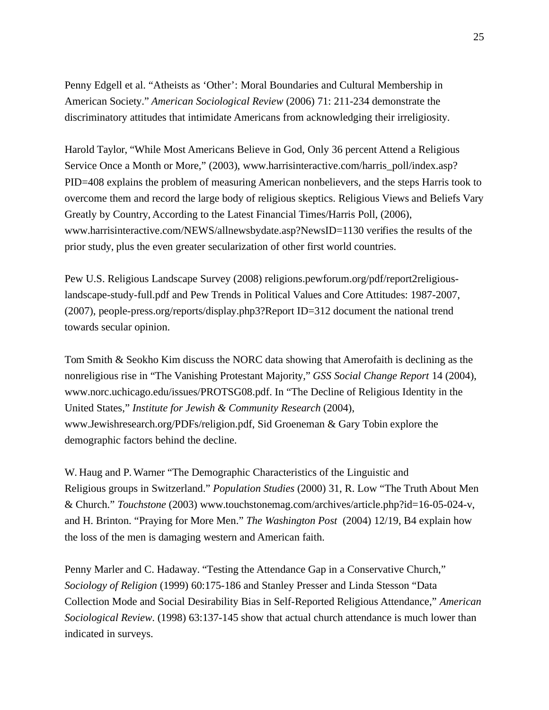Penny Edgell et al. "Atheists as 'Other': Moral Boundaries and Cultural Membership in American Society." *American Sociological Review* (2006) 71: 211-234 demonstrate the discriminatory attitudes that intimidate Americans from acknowledging their irreligiosity.

Harold Taylor, "While Most Americans Believe in God, Only 36 percent Attend a Religious Service Once a Month or More," (2003), www.harrisinteractive.com/harris\_poll/index.asp? PID=408 explains the problem of measuring American nonbelievers, and the steps Harris took to overcome them and record the large body of religious skeptics. Religious Views and Beliefs Vary Greatly by Country, According to the Latest Financial Times/Harris Poll, (2006), www.harrisinteractive.com/NEWS/allnewsbydate.asp?NewsID=1130 verifies the results of the prior study, plus the even greater secularization of other first world countries.

Pew U.S. Religious Landscape Survey (2008) religions.pewforum.org/pdf/report2religiouslandscape-study-full.pdf and Pew Trends in Political Values and Core Attitudes: 1987-2007, (2007), people-press.org/reports/display.php3?Report ID=312 document the national trend towards secular opinion.

Tom Smith & Seokho Kim discuss the NORC data showing that Amerofaith is declining as the nonreligious rise in "The Vanishing Protestant Majority," *GSS Social Change Report* 14 (2004), www.norc.uchicago.edu/issues/PROTSG08.pdf. In "The Decline of Religious Identity in the United States," *Institute for Jewish & Community Research* (2004), www.Jewishresearch.org/PDFs/religion.pdf, Sid Groeneman & Gary Tobin explore the demographic factors behind the decline.

W. Haug and P. Warner "The Demographic Characteristics of the Linguistic and Religious groups in Switzerland." *Population Studies* (2000) 31, R. Low "The Truth About Men & Church." *Touchstone* (2003) www.touchstonemag.com/archives/article.php?id=16-05-024-v, and H. Brinton. "Praying for More Men." *The Washington Post* (2004) 12/19, B4 explain how the loss of the men is damaging western and American faith.

Penny Marler and C. Hadaway. "Testing the Attendance Gap in a Conservative Church," *Sociology of Religion* (1999) 60:175-186 and Stanley Presser and Linda Stesson "Data Collection Mode and Social Desirability Bias in Self-Reported Religious Attendance," *American Sociological Review*. (1998) 63:137-145 show that actual church attendance is much lower than indicated in surveys.